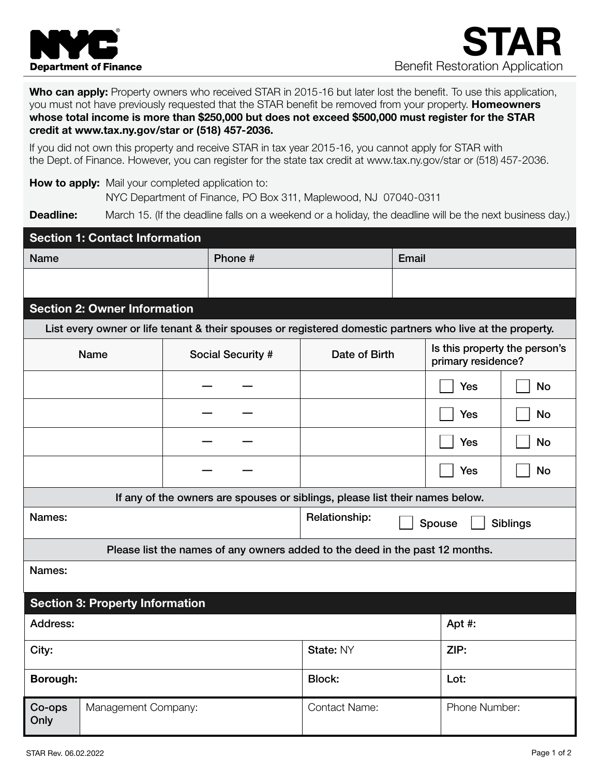

Who can apply: Property owners who received STAR in 2015-16 but later lost the benefit. To use this application, you must not have previously requested that the STAR benefit be removed from your property. Homeowners whose total income is more than \$250,000 but does not exceed \$500,000 must register for the STAR credit at www.tax.ny.gov/star or (518) 457-2036.

If you did not own this property and receive STAR in tax year 2015-16, you cannot apply for STAR with the Dept. of Finance. However, you can register for the state tax credit at www.tax.ny.gov/star or (518) 457-2036.

How to apply: Mail your completed application to: NYC Department of Finance, PO Box 311, Maplewood, NJ 07040-0311

**Deadline:** March 15. (If the deadline falls on a weekend or a holiday, the deadline will be the next business day.)

| <b>Section 1: Contact Information</b>                                                                     |  |                                                                              |                                            |  |                                                     |           |  |
|-----------------------------------------------------------------------------------------------------------|--|------------------------------------------------------------------------------|--------------------------------------------|--|-----------------------------------------------------|-----------|--|
| <b>Name</b>                                                                                               |  |                                                                              | Phone #                                    |  | Email                                               |           |  |
|                                                                                                           |  |                                                                              |                                            |  |                                                     |           |  |
|                                                                                                           |  |                                                                              |                                            |  |                                                     |           |  |
| <b>Section 2: Owner Information</b>                                                                       |  |                                                                              |                                            |  |                                                     |           |  |
| List every owner or life tenant & their spouses or registered domestic partners who live at the property. |  |                                                                              |                                            |  |                                                     |           |  |
| <b>Name</b>                                                                                               |  | Social Security #                                                            | Date of Birth                              |  | Is this property the person's<br>primary residence? |           |  |
|                                                                                                           |  |                                                                              |                                            |  | <b>Yes</b>                                          | <b>No</b> |  |
|                                                                                                           |  |                                                                              |                                            |  | Yes                                                 | <b>No</b> |  |
|                                                                                                           |  |                                                                              |                                            |  | <b>Yes</b>                                          | <b>No</b> |  |
|                                                                                                           |  |                                                                              |                                            |  | Yes                                                 | <b>No</b> |  |
|                                                                                                           |  | If any of the owners are spouses or siblings, please list their names below. |                                            |  |                                                     |           |  |
| Names:                                                                                                    |  |                                                                              | Relationship:<br><b>Siblings</b><br>Spouse |  |                                                     |           |  |
| Please list the names of any owners added to the deed in the past 12 months.                              |  |                                                                              |                                            |  |                                                     |           |  |
| Names:                                                                                                    |  |                                                                              |                                            |  |                                                     |           |  |
| <b>Section 3: Property Information</b>                                                                    |  |                                                                              |                                            |  |                                                     |           |  |
| Address:                                                                                                  |  |                                                                              |                                            |  | Apt #:                                              |           |  |
| City:                                                                                                     |  |                                                                              | State: NY                                  |  | ZIP:                                                |           |  |
| Borough:                                                                                                  |  |                                                                              | <b>Block:</b>                              |  | Lot:                                                |           |  |
| Co-ops<br>Management Company:<br>Only                                                                     |  |                                                                              | <b>Contact Name:</b>                       |  | Phone Number:                                       |           |  |